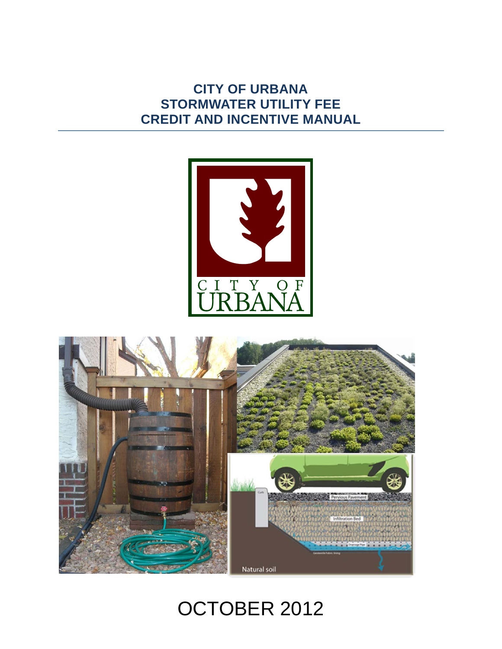## **CITY OF URBANA STORMWATER UTILITY FEE CREDIT AND INCENTIVE MANUAL**





# OCTOBER 2012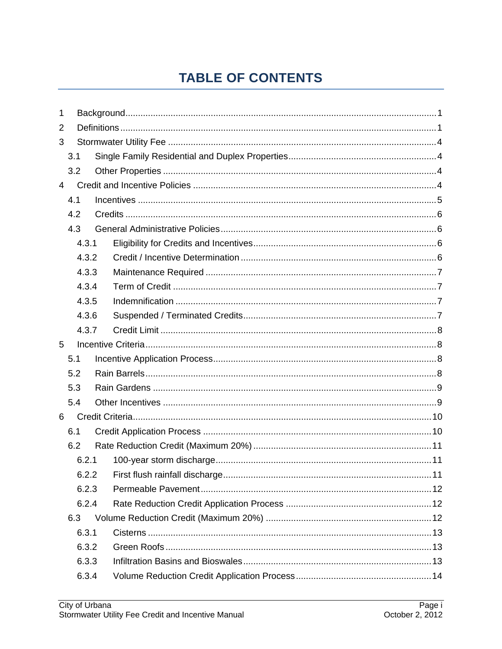## **TABLE OF CONTENTS**

| 1              |       |  |  |  |  |
|----------------|-------|--|--|--|--|
| 2              |       |  |  |  |  |
| 3              |       |  |  |  |  |
|                | 3.1   |  |  |  |  |
|                | 3.2   |  |  |  |  |
| $\overline{4}$ |       |  |  |  |  |
|                | 4.1   |  |  |  |  |
|                | 4.2   |  |  |  |  |
|                | 4.3   |  |  |  |  |
|                | 4.3.1 |  |  |  |  |
|                | 4.3.2 |  |  |  |  |
|                | 4.3.3 |  |  |  |  |
|                | 4.3.4 |  |  |  |  |
|                | 4.3.5 |  |  |  |  |
|                | 4.3.6 |  |  |  |  |
|                | 4.3.7 |  |  |  |  |
| 5              |       |  |  |  |  |
|                | 5.1   |  |  |  |  |
|                | 5.2   |  |  |  |  |
|                | 5.3   |  |  |  |  |
|                | 5.4   |  |  |  |  |
| 6              |       |  |  |  |  |
|                | 6.1   |  |  |  |  |
|                | 6.2   |  |  |  |  |
|                | 6.2.1 |  |  |  |  |
|                |       |  |  |  |  |
|                | 6.2.3 |  |  |  |  |
|                | 6.2.4 |  |  |  |  |
|                | 6.3   |  |  |  |  |
|                | 6.3.1 |  |  |  |  |
|                | 6.3.2 |  |  |  |  |
|                | 6.3.3 |  |  |  |  |
| 6.3.4          |       |  |  |  |  |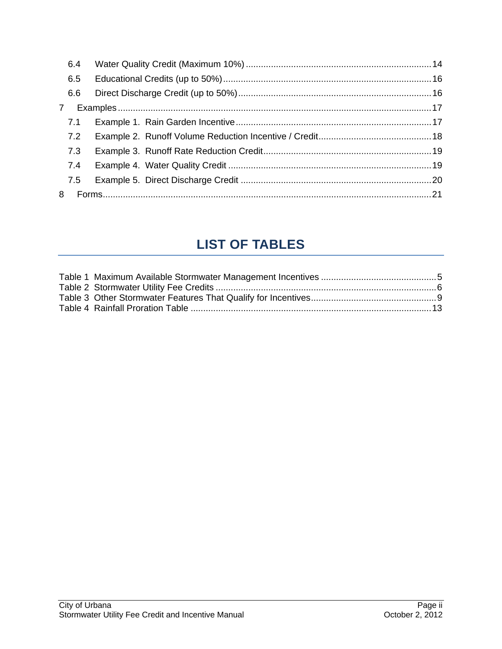| 6.4          |  |
|--------------|--|
| 6.5          |  |
| 6.6          |  |
| $\mathbf{7}$ |  |
| 7.1          |  |
| 7.2          |  |
| 7.3          |  |
| 7.4          |  |
| 7.5          |  |
| 8            |  |

## **LIST OF TABLES**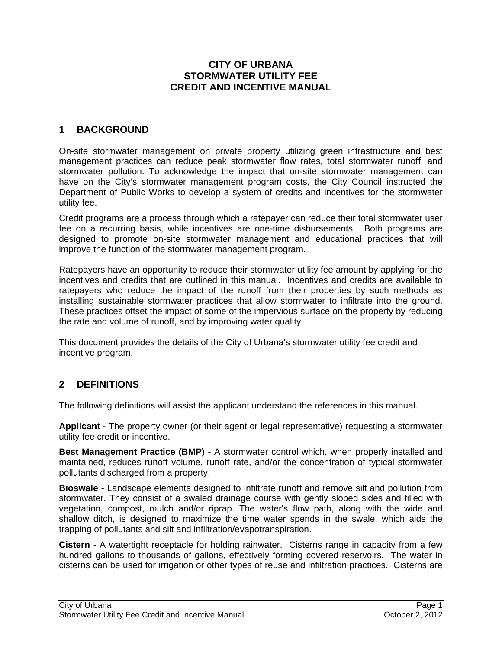## **CITY OF URBANA STORMWATER UTILITY FEE CREDIT AND INCENTIVE MANUAL**

## **1 BACKGROUND**

On-site stormwater management on private property utilizing green infrastructure and best management practices can reduce peak stormwater flow rates, total stormwater runoff, and stormwater pollution. To acknowledge the impact that on-site stormwater management can have on the City's stormwater management program costs, the City Council instructed the Department of Public Works to develop a system of credits and incentives for the stormwater utility fee.

Credit programs are a process through which a ratepayer can reduce their total stormwater user fee on a recurring basis, while incentives are one-time disbursements. Both programs are designed to promote on-site stormwater management and educational practices that will improve the function of the stormwater management program.

Ratepayers have an opportunity to reduce their stormwater utility fee amount by applying for the incentives and credits that are outlined in this manual. Incentives and credits are available to ratepayers who reduce the impact of the runoff from their properties by such methods as installing sustainable stormwater practices that allow stormwater to infiltrate into the ground. These practices offset the impact of some of the impervious surface on the property by reducing the rate and volume of runoff, and by improving water quality.

This document provides the details of the City of Urbana's stormwater utility fee credit and incentive program.

## **2 DEFINITIONS**

The following definitions will assist the applicant understand the references in this manual.

**Applicant -** The property owner (or their agent or legal representative) requesting a stormwater utility fee credit or incentive.

**Best Management Practice (BMP) -** A stormwater control which, when properly installed and maintained, reduces runoff volume, runoff rate, and/or the concentration of typical stormwater pollutants discharged from a property.

**Bioswale -** Landscape elements designed to infiltrate runoff and remove silt and pollution from stormwater. They consist of a swaled drainage course with gently sloped sides and filled with vegetation, compost, mulch and/or riprap. The water's flow path, along with the wide and shallow ditch, is designed to maximize the time water spends in the swale, which aids the trapping of pollutants and silt and infiltration/evapotranspiration.

**Cistern** - A watertight receptacle for holding rainwater. Cisterns range in capacity from a few hundred gallons to thousands of gallons, effectively forming covered reservoirs. The water in cisterns can be used for irrigation or other types of reuse and infiltration practices. Cisterns are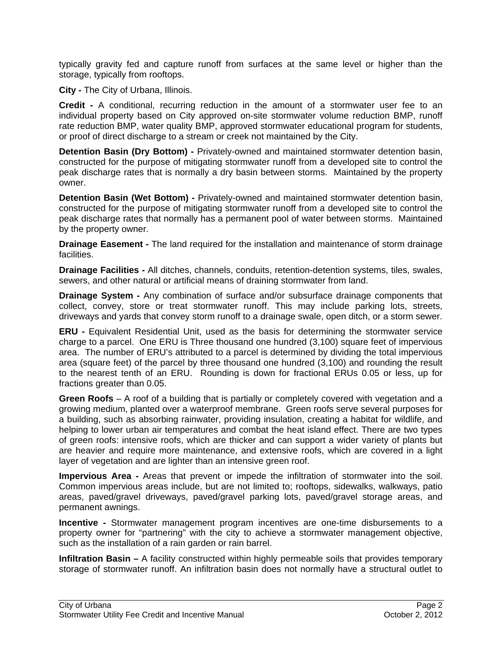typically gravity fed and capture runoff from surfaces at the same level or higher than the storage, typically from rooftops.

**City -** The City of Urbana, Illinois.

**Credit -** A conditional, recurring reduction in the amount of a stormwater user fee to an individual property based on City approved on-site stormwater volume reduction BMP, runoff rate reduction BMP, water quality BMP, approved stormwater educational program for students, or proof of direct discharge to a stream or creek not maintained by the City.

**Detention Basin (Dry Bottom) -** Privately-owned and maintained stormwater detention basin, constructed for the purpose of mitigating stormwater runoff from a developed site to control the peak discharge rates that is normally a dry basin between storms. Maintained by the property owner.

**Detention Basin (Wet Bottom) -** Privately-owned and maintained stormwater detention basin, constructed for the purpose of mitigating stormwater runoff from a developed site to control the peak discharge rates that normally has a permanent pool of water between storms. Maintained by the property owner.

**Drainage Easement -** The land required for the installation and maintenance of storm drainage facilities.

**Drainage Facilities -** All ditches, channels, conduits, retention-detention systems, tiles, swales, sewers, and other natural or artificial means of draining stormwater from land.

**Drainage System -** Any combination of surface and/or subsurface drainage components that collect, convey, store or treat stormwater runoff. This may include parking lots, streets, driveways and yards that convey storm runoff to a drainage swale, open ditch, or a storm sewer.

**ERU -** Equivalent Residential Unit, used as the basis for determining the stormwater service charge to a parcel. One ERU is Three thousand one hundred (3,100) square feet of impervious area. The number of ERU's attributed to a parcel is determined by dividing the total impervious area (square feet) of the parcel by three thousand one hundred (3,100) and rounding the result to the nearest tenth of an ERU. Rounding is down for fractional ERUs 0.05 or less, up for fractions greater than 0.05.

**Green Roofs** – A roof of a building that is partially or completely covered with vegetation and a growing medium, planted over a waterproof membrane. Green roofs serve several purposes for a building, such as absorbing rainwater, providing insulation, creating a habitat for wildlife, and helping to lower urban air temperatures and combat the heat island effect. There are two types of green roofs: intensive roofs, which are thicker and can support a wider variety of plants but are heavier and require more maintenance, and extensive roofs, which are covered in a light layer of vegetation and are lighter than an intensive green roof.

**Impervious Area -** Areas that prevent or impede the infiltration of stormwater into the soil. Common impervious areas include, but are not limited to; rooftops, sidewalks, walkways, patio areas, paved/gravel driveways, paved/gravel parking lots, paved/gravel storage areas, and permanent awnings.

**Incentive -** Stormwater management program incentives are one-time disbursements to a property owner for "partnering" with the city to achieve a stormwater management objective, such as the installation of a rain garden or rain barrel.

**Infiltration Basin –** A facility constructed within highly permeable soils that provides temporary storage of stormwater runoff. An infiltration basin does not normally have a structural outlet to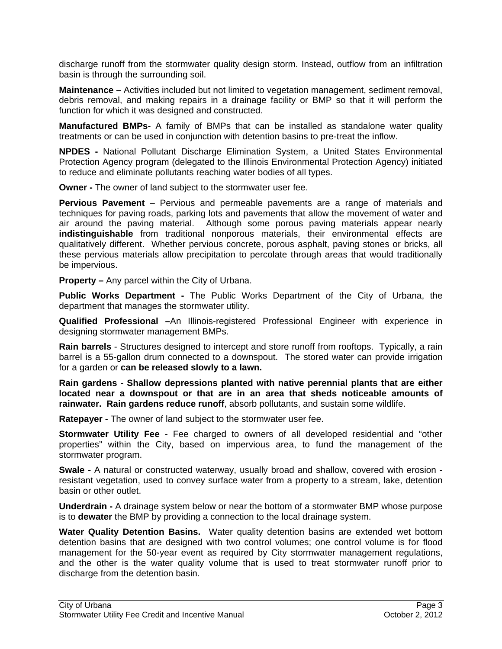discharge runoff from the stormwater quality design storm. Instead, outflow from an infiltration basin is through the surrounding soil.

**Maintenance –** Activities included but not limited to vegetation management, sediment removal, debris removal, and making repairs in a drainage facility or BMP so that it will perform the function for which it was designed and constructed.

**Manufactured BMPs-** A family of BMPs that can be installed as standalone water quality treatments or can be used in conjunction with detention basins to pre-treat the inflow.

**NPDES -** National Pollutant Discharge Elimination System, a United States Environmental Protection Agency program (delegated to the Illinois Environmental Protection Agency) initiated to reduce and eliminate pollutants reaching water bodies of all types.

**Owner -** The owner of land subject to the stormwater user fee.

**Pervious Pavement** – Pervious and permeable pavements are a range of materials and techniques for paving roads, parking lots and pavements that allow the movement of water and air around the paving material. Although some porous paving materials appear nearly **indistinguishable** from traditional nonporous materials, their environmental effects are qualitatively different. Whether pervious concrete, porous asphalt, paving stones or bricks, all these pervious materials allow precipitation to percolate through areas that would traditionally be impervious.

**Property –** Any parcel within the City of Urbana.

**Public Works Department -** The Public Works Department of the City of Urbana, the department that manages the stormwater utility.

**Qualified Professional –**An Illinois-registered Professional Engineer with experience in designing stormwater management BMPs.

**Rain barrels** - Structures designed to intercept and store runoff from rooftops. Typically, a rain barrel is a 55-gallon drum connected to a downspout. The stored water can provide irrigation for a garden or **can be released slowly to a lawn.** 

**Rain gardens - Shallow depressions planted with native perennial plants that are either located near a downspout or that are in an area that sheds noticeable amounts of rainwater. Rain gardens reduce runoff**, absorb pollutants, and sustain some wildlife.

**Ratepayer -** The owner of land subject to the stormwater user fee.

**Stormwater Utility Fee -** Fee charged to owners of all developed residential and "other properties" within the City, based on impervious area, to fund the management of the stormwater program.

**Swale -** A natural or constructed waterway, usually broad and shallow, covered with erosion resistant vegetation, used to convey surface water from a property to a stream, lake, detention basin or other outlet.

**Underdrain -** A drainage system below or near the bottom of a stormwater BMP whose purpose is to **dewater** the BMP by providing a connection to the local drainage system.

**Water Quality Detention Basins.** Water quality detention basins are extended wet bottom detention basins that are designed with two control volumes; one control volume is for flood management for the 50-year event as required by City stormwater management regulations, and the other is the water quality volume that is used to treat stormwater runoff prior to discharge from the detention basin.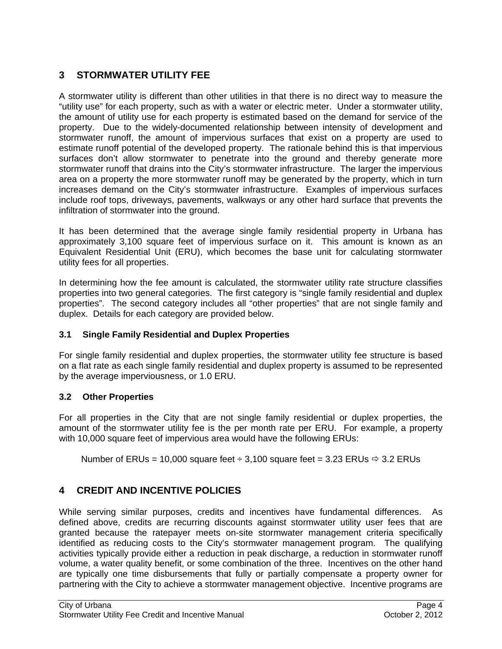## **3 STORMWATER UTILITY FEE**

A stormwater utility is different than other utilities in that there is no direct way to measure the "utility use" for each property, such as with a water or electric meter. Under a stormwater utility, the amount of utility use for each property is estimated based on the demand for service of the property. Due to the widely-documented relationship between intensity of development and stormwater runoff, the amount of impervious surfaces that exist on a property are used to estimate runoff potential of the developed property. The rationale behind this is that impervious surfaces don't allow stormwater to penetrate into the ground and thereby generate more stormwater runoff that drains into the City's stormwater infrastructure. The larger the impervious area on a property the more stormwater runoff may be generated by the property, which in turn increases demand on the City's stormwater infrastructure. Examples of impervious surfaces include roof tops, driveways, pavements, walkways or any other hard surface that prevents the infiltration of stormwater into the ground.

It has been determined that the average single family residential property in Urbana has approximately 3,100 square feet of impervious surface on it. This amount is known as an Equivalent Residential Unit (ERU), which becomes the base unit for calculating stormwater utility fees for all properties.

In determining how the fee amount is calculated, the stormwater utility rate structure classifies properties into two general categories. The first category is "single family residential and duplex properties". The second category includes all "other properties" that are not single family and duplex. Details for each category are provided below.

## **3.1 Single Family Residential and Duplex Properties**

For single family residential and duplex properties, the stormwater utility fee structure is based on a flat rate as each single family residential and duplex property is assumed to be represented by the average imperviousness, or 1.0 ERU.

## **3.2 Other Properties**

For all properties in the City that are not single family residential or duplex properties, the amount of the stormwater utility fee is the per month rate per ERU. For example, a property with 10,000 square feet of impervious area would have the following ERUs:

Number of ERUs = 10,000 square feet  $\div$  3,100 square feet = 3.23 ERUs  $\div$  3.2 ERUs

## **4 CREDIT AND INCENTIVE POLICIES**

While serving similar purposes, credits and incentives have fundamental differences. As defined above, credits are recurring discounts against stormwater utility user fees that are granted because the ratepayer meets on-site stormwater management criteria specifically identified as reducing costs to the City's stormwater management program. The qualifying activities typically provide either a reduction in peak discharge, a reduction in stormwater runoff volume, a water quality benefit, or some combination of the three. Incentives on the other hand are typically one time disbursements that fully or partially compensate a property owner for partnering with the City to achieve a stormwater management objective. Incentive programs are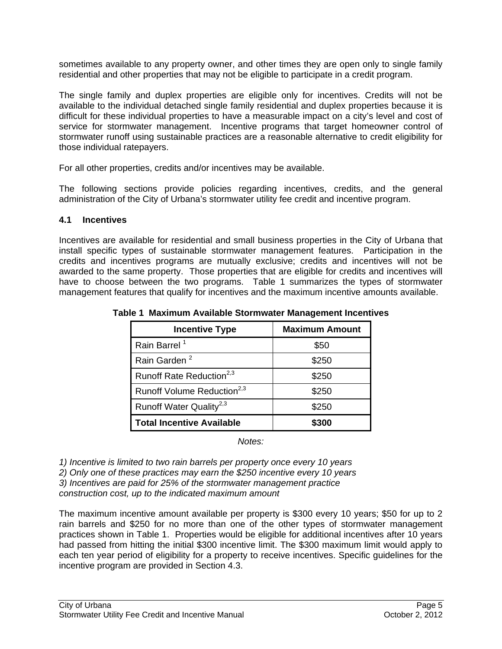sometimes available to any property owner, and other times they are open only to single family residential and other properties that may not be eligible to participate in a credit program.

The single family and duplex properties are eligible only for incentives. Credits will not be available to the individual detached single family residential and duplex properties because it is difficult for these individual properties to have a measurable impact on a city's level and cost of service for stormwater management. Incentive programs that target homeowner control of stormwater runoff using sustainable practices are a reasonable alternative to credit eligibility for those individual ratepayers.

For all other properties, credits and/or incentives may be available.

The following sections provide policies regarding incentives, credits, and the general administration of the City of Urbana's stormwater utility fee credit and incentive program.

#### **4.1 Incentives**

Incentives are available for residential and small business properties in the City of Urbana that install specific types of sustainable stormwater management features. Participation in the credits and incentives programs are mutually exclusive; credits and incentives will not be awarded to the same property. Those properties that are eligible for credits and incentives will have to choose between the two programs. Table 1 summarizes the types of stormwater management features that qualify for incentives and the maximum incentive amounts available.

| <b>Incentive Type</b>                  | <b>Maximum Amount</b> |
|----------------------------------------|-----------------------|
| Rain Barrel <sup>1</sup>               | \$50                  |
| Rain Garden <sup>2</sup>               | \$250                 |
| Runoff Rate Reduction <sup>2,3</sup>   | \$250                 |
| Runoff Volume Reduction <sup>2,3</sup> | \$250                 |
| Runoff Water Quality <sup>2,3</sup>    | \$250                 |
| <b>Total Incentive Available</b>       | \$300                 |

**Table 1 Maximum Available Stormwater Management Incentives** 

*Notes:* 

*1) Incentive is limited to two rain barrels per property once every 10 years 2) Only one of these practices may earn the \$250 incentive every 10 years 3) Incentives are paid for 25% of the stormwater management practice construction cost, up to the indicated maximum amount* 

The maximum incentive amount available per property is \$300 every 10 years; \$50 for up to 2 rain barrels and \$250 for no more than one of the other types of stormwater management practices shown in Table 1. Properties would be eligible for additional incentives after 10 years had passed from hitting the initial \$300 incentive limit. The \$300 maximum limit would apply to each ten year period of eligibility for a property to receive incentives. Specific guidelines for the incentive program are provided in Section 4.3.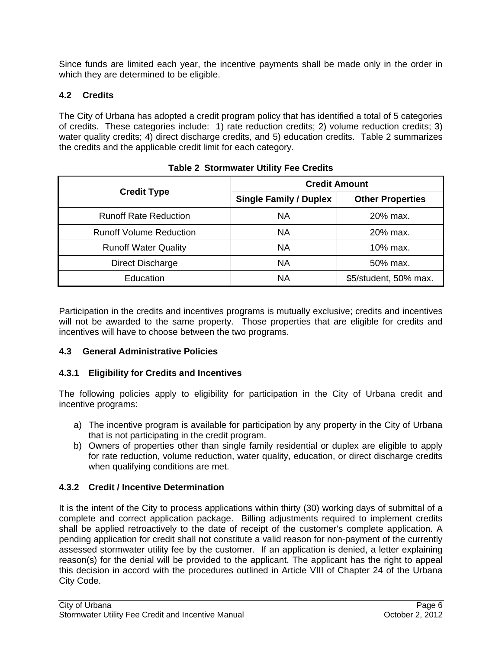Since funds are limited each year, the incentive payments shall be made only in the order in which they are determined to be eligible.

## **4.2 Credits**

The City of Urbana has adopted a credit program policy that has identified a total of 5 categories of credits. These categories include: 1) rate reduction credits; 2) volume reduction credits; 3) water quality credits; 4) direct discharge credits, and 5) education credits. Table 2 summarizes the credits and the applicable credit limit for each category.

|                                | <b>Credit Amount</b>          |                         |  |
|--------------------------------|-------------------------------|-------------------------|--|
| <b>Credit Type</b>             | <b>Single Family / Duplex</b> | <b>Other Properties</b> |  |
| <b>Runoff Rate Reduction</b>   | <b>NA</b>                     | $20\%$ max.             |  |
| <b>Runoff Volume Reduction</b> | <b>NA</b>                     | 20% max.                |  |
| <b>Runoff Water Quality</b>    | ΝA                            | 10% max.                |  |
| <b>Direct Discharge</b>        | ΝA                            | 50% max.                |  |
| Education                      | ΝA                            | \$5/student, 50% max.   |  |

| <b>Table 2 Stormwater Utility Fee Credits</b> |  |  |
|-----------------------------------------------|--|--|
|                                               |  |  |

Participation in the credits and incentives programs is mutually exclusive; credits and incentives will not be awarded to the same property. Those properties that are eligible for credits and incentives will have to choose between the two programs.

## **4.3 General Administrative Policies**

## **4.3.1 Eligibility for Credits and Incentives**

The following policies apply to eligibility for participation in the City of Urbana credit and incentive programs:

- a) The incentive program is available for participation by any property in the City of Urbana that is not participating in the credit program.
- b) Owners of properties other than single family residential or duplex are eligible to apply for rate reduction, volume reduction, water quality, education, or direct discharge credits when qualifying conditions are met.

## **4.3.2 Credit / Incentive Determination**

It is the intent of the City to process applications within thirty (30) working days of submittal of a complete and correct application package. Billing adjustments required to implement credits shall be applied retroactively to the date of receipt of the customer's complete application. A pending application for credit shall not constitute a valid reason for non-payment of the currently assessed stormwater utility fee by the customer. If an application is denied, a letter explaining reason(s) for the denial will be provided to the applicant. The applicant has the right to appeal this decision in accord with the procedures outlined in Article VIII of Chapter 24 of the Urbana City Code.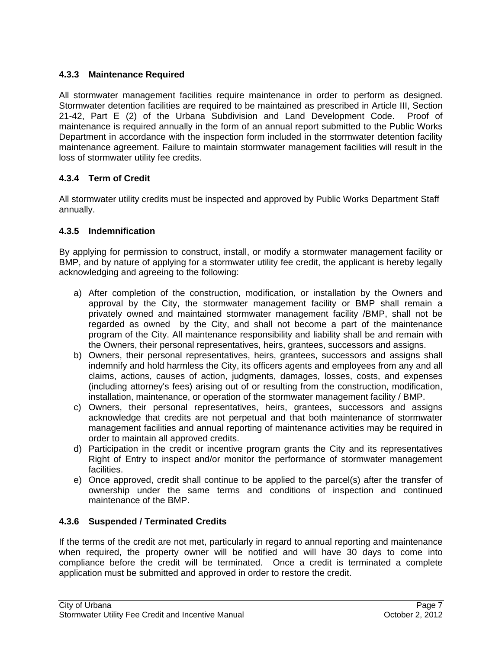## **4.3.3 Maintenance Required**

All stormwater management facilities require maintenance in order to perform as designed. Stormwater detention facilities are required to be maintained as prescribed in Article III, Section 21-42, Part E (2) of the Urbana Subdivision and Land Development Code. Proof of maintenance is required annually in the form of an annual report submitted to the Public Works Department in accordance with the inspection form included in the stormwater detention facility maintenance agreement. Failure to maintain stormwater management facilities will result in the loss of stormwater utility fee credits.

## **4.3.4 Term of Credit**

All stormwater utility credits must be inspected and approved by Public Works Department Staff annually.

#### **4.3.5 Indemnification**

By applying for permission to construct, install, or modify a stormwater management facility or BMP, and by nature of applying for a stormwater utility fee credit, the applicant is hereby legally acknowledging and agreeing to the following:

- a) After completion of the construction, modification, or installation by the Owners and approval by the City, the stormwater management facility or BMP shall remain a privately owned and maintained stormwater management facility /BMP, shall not be regarded as owned by the City, and shall not become a part of the maintenance program of the City. All maintenance responsibility and liability shall be and remain with the Owners, their personal representatives, heirs, grantees, successors and assigns.
- b) Owners, their personal representatives, heirs, grantees, successors and assigns shall indemnify and hold harmless the City, its officers agents and employees from any and all claims, actions, causes of action, judgments, damages, losses, costs, and expenses (including attorney's fees) arising out of or resulting from the construction, modification, installation, maintenance, or operation of the stormwater management facility / BMP.
- c) Owners, their personal representatives, heirs, grantees, successors and assigns acknowledge that credits are not perpetual and that both maintenance of stormwater management facilities and annual reporting of maintenance activities may be required in order to maintain all approved credits.
- d) Participation in the credit or incentive program grants the City and its representatives Right of Entry to inspect and/or monitor the performance of stormwater management facilities.
- e) Once approved, credit shall continue to be applied to the parcel(s) after the transfer of ownership under the same terms and conditions of inspection and continued maintenance of the BMP.

## **4.3.6 Suspended / Terminated Credits**

If the terms of the credit are not met, particularly in regard to annual reporting and maintenance when required, the property owner will be notified and will have 30 days to come into compliance before the credit will be terminated. Once a credit is terminated a complete application must be submitted and approved in order to restore the credit.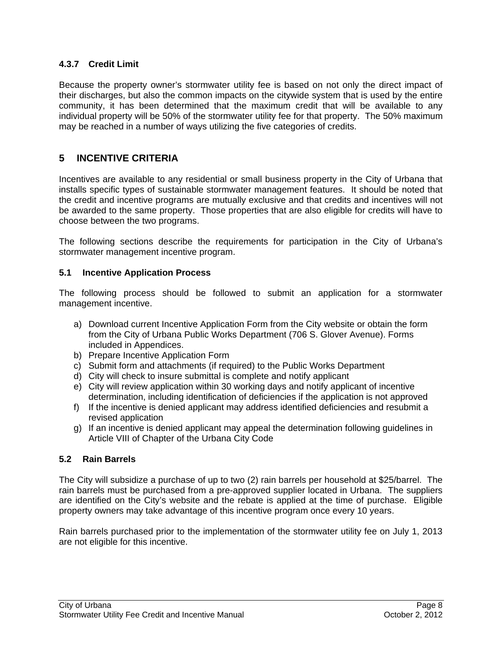## **4.3.7 Credit Limit**

Because the property owner's stormwater utility fee is based on not only the direct impact of their discharges, but also the common impacts on the citywide system that is used by the entire community, it has been determined that the maximum credit that will be available to any individual property will be 50% of the stormwater utility fee for that property. The 50% maximum may be reached in a number of ways utilizing the five categories of credits.

## **5 INCENTIVE CRITERIA**

Incentives are available to any residential or small business property in the City of Urbana that installs specific types of sustainable stormwater management features. It should be noted that the credit and incentive programs are mutually exclusive and that credits and incentives will not be awarded to the same property. Those properties that are also eligible for credits will have to choose between the two programs.

The following sections describe the requirements for participation in the City of Urbana's stormwater management incentive program.

## **5.1 Incentive Application Process**

The following process should be followed to submit an application for a stormwater management incentive.

- a) Download current Incentive Application Form from the City website or obtain the form from the City of Urbana Public Works Department (706 S. Glover Avenue). Forms included in Appendices.
- b) Prepare Incentive Application Form
- c) Submit form and attachments (if required) to the Public Works Department
- d) City will check to insure submittal is complete and notify applicant
- e) City will review application within 30 working days and notify applicant of incentive determination, including identification of deficiencies if the application is not approved
- f) If the incentive is denied applicant may address identified deficiencies and resubmit a revised application
- g) If an incentive is denied applicant may appeal the determination following guidelines in Article VIII of Chapter of the Urbana City Code

## **5.2 Rain Barrels**

The City will subsidize a purchase of up to two (2) rain barrels per household at \$25/barrel. The rain barrels must be purchased from a pre-approved supplier located in Urbana. The suppliers are identified on the City's website and the rebate is applied at the time of purchase. Eligible property owners may take advantage of this incentive program once every 10 years.

Rain barrels purchased prior to the implementation of the stormwater utility fee on July 1, 2013 are not eligible for this incentive.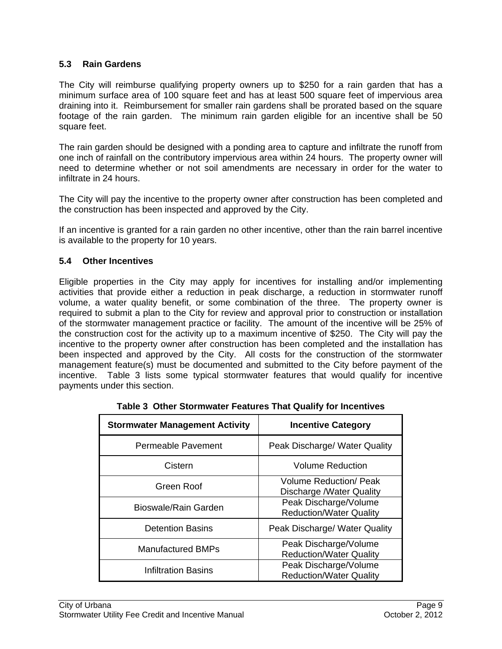#### **5.3 Rain Gardens**

The City will reimburse qualifying property owners up to \$250 for a rain garden that has a minimum surface area of 100 square feet and has at least 500 square feet of impervious area draining into it. Reimbursement for smaller rain gardens shall be prorated based on the square footage of the rain garden. The minimum rain garden eligible for an incentive shall be 50 square feet.

The rain garden should be designed with a ponding area to capture and infiltrate the runoff from one inch of rainfall on the contributory impervious area within 24 hours. The property owner will need to determine whether or not soil amendments are necessary in order for the water to infiltrate in 24 hours.

The City will pay the incentive to the property owner after construction has been completed and the construction has been inspected and approved by the City.

If an incentive is granted for a rain garden no other incentive, other than the rain barrel incentive is available to the property for 10 years.

#### **5.4 Other Incentives**

Eligible properties in the City may apply for incentives for installing and/or implementing activities that provide either a reduction in peak discharge, a reduction in stormwater runoff volume, a water quality benefit, or some combination of the three. The property owner is required to submit a plan to the City for review and approval prior to construction or installation of the stormwater management practice or facility. The amount of the incentive will be 25% of the construction cost for the activity up to a maximum incentive of \$250. The City will pay the incentive to the property owner after construction has been completed and the installation has been inspected and approved by the City. All costs for the construction of the stormwater management feature(s) must be documented and submitted to the City before payment of the incentive. Table 3 lists some typical stormwater features that would qualify for incentive payments under this section.

| <b>Stormwater Management Activity</b> | <b>Incentive Category</b>                                 |
|---------------------------------------|-----------------------------------------------------------|
| Permeable Pavement                    | Peak Discharge/ Water Quality                             |
| Cistern                               | <b>Volume Reduction</b>                                   |
| Green Roof                            | Volume Reduction/ Peak<br><b>Discharge /Water Quality</b> |
| Bioswale/Rain Garden                  | Peak Discharge/Volume<br><b>Reduction/Water Quality</b>   |
| <b>Detention Basins</b>               | Peak Discharge/ Water Quality                             |
| <b>Manufactured BMPs</b>              | Peak Discharge/Volume<br><b>Reduction/Water Quality</b>   |
| <b>Infiltration Basins</b>            | Peak Discharge/Volume<br><b>Reduction/Water Quality</b>   |

**Table 3 Other Stormwater Features That Qualify for Incentives**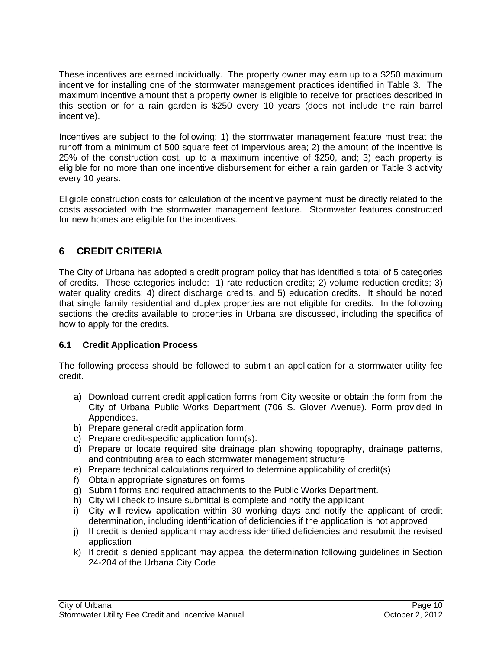These incentives are earned individually. The property owner may earn up to a \$250 maximum incentive for installing one of the stormwater management practices identified in Table 3. The maximum incentive amount that a property owner is eligible to receive for practices described in this section or for a rain garden is \$250 every 10 years (does not include the rain barrel incentive).

Incentives are subject to the following: 1) the stormwater management feature must treat the runoff from a minimum of 500 square feet of impervious area; 2) the amount of the incentive is 25% of the construction cost, up to a maximum incentive of \$250, and; 3) each property is eligible for no more than one incentive disbursement for either a rain garden or Table 3 activity every 10 years.

Eligible construction costs for calculation of the incentive payment must be directly related to the costs associated with the stormwater management feature. Stormwater features constructed for new homes are eligible for the incentives.

## **6 CREDIT CRITERIA**

The City of Urbana has adopted a credit program policy that has identified a total of 5 categories of credits. These categories include: 1) rate reduction credits; 2) volume reduction credits; 3) water quality credits; 4) direct discharge credits, and 5) education credits. It should be noted that single family residential and duplex properties are not eligible for credits. In the following sections the credits available to properties in Urbana are discussed, including the specifics of how to apply for the credits.

## **6.1 Credit Application Process**

The following process should be followed to submit an application for a stormwater utility fee credit.

- a) Download current credit application forms from City website or obtain the form from the City of Urbana Public Works Department (706 S. Glover Avenue). Form provided in Appendices.
- b) Prepare general credit application form.
- c) Prepare credit-specific application form(s).
- d) Prepare or locate required site drainage plan showing topography, drainage patterns, and contributing area to each stormwater management structure
- e) Prepare technical calculations required to determine applicability of credit(s)
- f) Obtain appropriate signatures on forms
- g) Submit forms and required attachments to the Public Works Department.
- h) City will check to insure submittal is complete and notify the applicant
- i) City will review application within 30 working days and notify the applicant of credit determination, including identification of deficiencies if the application is not approved
- j) If credit is denied applicant may address identified deficiencies and resubmit the revised application
- k) If credit is denied applicant may appeal the determination following guidelines in Section 24-204 of the Urbana City Code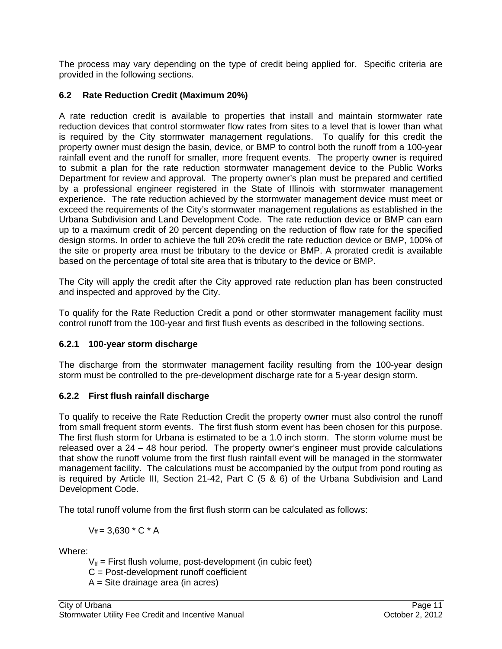The process may vary depending on the type of credit being applied for. Specific criteria are provided in the following sections.

## **6.2 Rate Reduction Credit (Maximum 20%)**

A rate reduction credit is available to properties that install and maintain stormwater rate reduction devices that control stormwater flow rates from sites to a level that is lower than what is required by the City stormwater management regulations. To qualify for this credit the property owner must design the basin, device, or BMP to control both the runoff from a 100-year rainfall event and the runoff for smaller, more frequent events. The property owner is required to submit a plan for the rate reduction stormwater management device to the Public Works Department for review and approval. The property owner's plan must be prepared and certified by a professional engineer registered in the State of Illinois with stormwater management experience. The rate reduction achieved by the stormwater management device must meet or exceed the requirements of the City's stormwater management regulations as established in the Urbana Subdivision and Land Development Code. The rate reduction device or BMP can earn up to a maximum credit of 20 percent depending on the reduction of flow rate for the specified design storms. In order to achieve the full 20% credit the rate reduction device or BMP, 100% of the site or property area must be tributary to the device or BMP. A prorated credit is available based on the percentage of total site area that is tributary to the device or BMP.

The City will apply the credit after the City approved rate reduction plan has been constructed and inspected and approved by the City.

To qualify for the Rate Reduction Credit a pond or other stormwater management facility must control runoff from the 100-year and first flush events as described in the following sections.

## **6.2.1 100-year storm discharge**

The discharge from the stormwater management facility resulting from the 100-year design storm must be controlled to the pre-development discharge rate for a 5-year design storm.

## **6.2.2 First flush rainfall discharge**

To qualify to receive the Rate Reduction Credit the property owner must also control the runoff from small frequent storm events. The first flush storm event has been chosen for this purpose. The first flush storm for Urbana is estimated to be a 1.0 inch storm. The storm volume must be released over a 24 – 48 hour period. The property owner's engineer must provide calculations that show the runoff volume from the first flush rainfall event will be managed in the stormwater management facility. The calculations must be accompanied by the output from pond routing as is required by Article III, Section 21-42, Part C (5 & 6) of the Urbana Subdivision and Land Development Code.

The total runoff volume from the first flush storm can be calculated as follows:

 $V_{\text{ff}} = 3.630 \times C \times A$ 

Where:

 $V_{\text{ff}}$  = First flush volume, post-development (in cubic feet)

C = Post-development runoff coefficient

A = Site drainage area (in acres)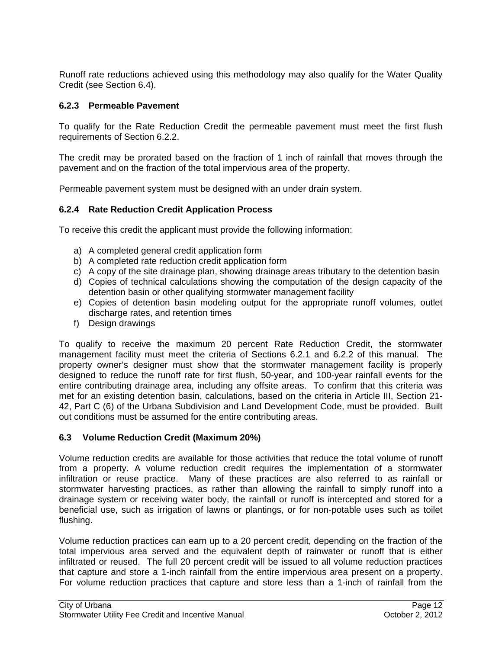Runoff rate reductions achieved using this methodology may also qualify for the Water Quality Credit (see Section 6.4).

## **6.2.3 Permeable Pavement**

To qualify for the Rate Reduction Credit the permeable pavement must meet the first flush requirements of Section 6.2.2.

The credit may be prorated based on the fraction of 1 inch of rainfall that moves through the pavement and on the fraction of the total impervious area of the property.

Permeable pavement system must be designed with an under drain system.

## **6.2.4 Rate Reduction Credit Application Process**

To receive this credit the applicant must provide the following information:

- a) A completed general credit application form
- b) A completed rate reduction credit application form
- c) A copy of the site drainage plan, showing drainage areas tributary to the detention basin
- d) Copies of technical calculations showing the computation of the design capacity of the detention basin or other qualifying stormwater management facility
- e) Copies of detention basin modeling output for the appropriate runoff volumes, outlet discharge rates, and retention times
- f) Design drawings

To qualify to receive the maximum 20 percent Rate Reduction Credit, the stormwater management facility must meet the criteria of Sections 6.2.1 and 6.2.2 of this manual. The property owner's designer must show that the stormwater management facility is properly designed to reduce the runoff rate for first flush, 50-year, and 100-year rainfall events for the entire contributing drainage area, including any offsite areas. To confirm that this criteria was met for an existing detention basin, calculations, based on the criteria in Article III, Section 21- 42, Part C (6) of the Urbana Subdivision and Land Development Code, must be provided. Built out conditions must be assumed for the entire contributing areas.

## **6.3 Volume Reduction Credit (Maximum 20%)**

Volume reduction credits are available for those activities that reduce the total volume of runoff from a property. A volume reduction credit requires the implementation of a stormwater infiltration or reuse practice. Many of these practices are also referred to as rainfall or stormwater harvesting practices, as rather than allowing the rainfall to simply runoff into a drainage system or receiving water body, the rainfall or runoff is intercepted and stored for a beneficial use, such as irrigation of lawns or plantings, or for non-potable uses such as toilet flushing.

Volume reduction practices can earn up to a 20 percent credit, depending on the fraction of the total impervious area served and the equivalent depth of rainwater or runoff that is either infiltrated or reused. The full 20 percent credit will be issued to all volume reduction practices that capture and store a 1-inch rainfall from the entire impervious area present on a property. For volume reduction practices that capture and store less than a 1-inch of rainfall from the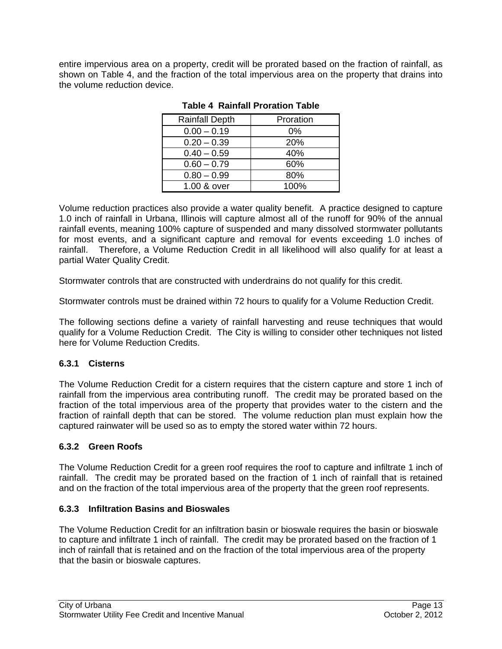entire impervious area on a property, credit will be prorated based on the fraction of rainfall, as shown on Table 4, and the fraction of the total impervious area on the property that drains into the volume reduction device.

| <b>Rainfall Depth</b> | Proration |
|-----------------------|-----------|
| $0.00 - 0.19$         | 0%        |
| $0.20 - 0.39$         | 20%       |
| $0.40 - 0.59$         | 40%       |
| $0.60 - 0.79$         | 60%       |
| $0.80 - 0.99$         | 80%       |
| 1.00 & over           | 100%      |

#### **Table 4 Rainfall Proration Table**

Volume reduction practices also provide a water quality benefit. A practice designed to capture 1.0 inch of rainfall in Urbana, Illinois will capture almost all of the runoff for 90% of the annual rainfall events, meaning 100% capture of suspended and many dissolved stormwater pollutants for most events, and a significant capture and removal for events exceeding 1.0 inches of rainfall. Therefore, a Volume Reduction Credit in all likelihood will also qualify for at least a partial Water Quality Credit.

Stormwater controls that are constructed with underdrains do not qualify for this credit.

Stormwater controls must be drained within 72 hours to qualify for a Volume Reduction Credit.

The following sections define a variety of rainfall harvesting and reuse techniques that would qualify for a Volume Reduction Credit. The City is willing to consider other techniques not listed here for Volume Reduction Credits.

## **6.3.1 Cisterns**

The Volume Reduction Credit for a cistern requires that the cistern capture and store 1 inch of rainfall from the impervious area contributing runoff. The credit may be prorated based on the fraction of the total impervious area of the property that provides water to the cistern and the fraction of rainfall depth that can be stored. The volume reduction plan must explain how the captured rainwater will be used so as to empty the stored water within 72 hours.

## **6.3.2 Green Roofs**

The Volume Reduction Credit for a green roof requires the roof to capture and infiltrate 1 inch of rainfall. The credit may be prorated based on the fraction of 1 inch of rainfall that is retained and on the fraction of the total impervious area of the property that the green roof represents.

## **6.3.3 Infiltration Basins and Bioswales**

The Volume Reduction Credit for an infiltration basin or bioswale requires the basin or bioswale to capture and infiltrate 1 inch of rainfall. The credit may be prorated based on the fraction of 1 inch of rainfall that is retained and on the fraction of the total impervious area of the property that the basin or bioswale captures.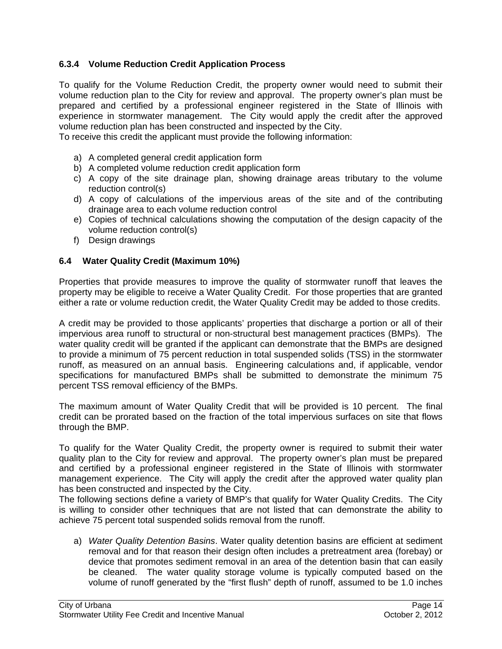## **6.3.4 Volume Reduction Credit Application Process**

To qualify for the Volume Reduction Credit, the property owner would need to submit their volume reduction plan to the City for review and approval. The property owner's plan must be prepared and certified by a professional engineer registered in the State of Illinois with experience in stormwater management. The City would apply the credit after the approved volume reduction plan has been constructed and inspected by the City.

To receive this credit the applicant must provide the following information:

- a) A completed general credit application form
- b) A completed volume reduction credit application form
- c) A copy of the site drainage plan, showing drainage areas tributary to the volume reduction control(s)
- d) A copy of calculations of the impervious areas of the site and of the contributing drainage area to each volume reduction control
- e) Copies of technical calculations showing the computation of the design capacity of the volume reduction control(s)
- f) Design drawings

#### **6.4 Water Quality Credit (Maximum 10%)**

Properties that provide measures to improve the quality of stormwater runoff that leaves the property may be eligible to receive a Water Quality Credit. For those properties that are granted either a rate or volume reduction credit, the Water Quality Credit may be added to those credits.

A credit may be provided to those applicants' properties that discharge a portion or all of their impervious area runoff to structural or non-structural best management practices (BMPs). The water quality credit will be granted if the applicant can demonstrate that the BMPs are designed to provide a minimum of 75 percent reduction in total suspended solids (TSS) in the stormwater runoff, as measured on an annual basis. Engineering calculations and, if applicable, vendor specifications for manufactured BMPs shall be submitted to demonstrate the minimum 75 percent TSS removal efficiency of the BMPs.

The maximum amount of Water Quality Credit that will be provided is 10 percent. The final credit can be prorated based on the fraction of the total impervious surfaces on site that flows through the BMP.

To qualify for the Water Quality Credit, the property owner is required to submit their water quality plan to the City for review and approval. The property owner's plan must be prepared and certified by a professional engineer registered in the State of Illinois with stormwater management experience. The City will apply the credit after the approved water quality plan has been constructed and inspected by the City.

The following sections define a variety of BMP's that qualify for Water Quality Credits. The City is willing to consider other techniques that are not listed that can demonstrate the ability to achieve 75 percent total suspended solids removal from the runoff.

a) *Water Quality Detention Basins*. Water quality detention basins are efficient at sediment removal and for that reason their design often includes a pretreatment area (forebay) or device that promotes sediment removal in an area of the detention basin that can easily be cleaned. The water quality storage volume is typically computed based on the volume of runoff generated by the "first flush" depth of runoff, assumed to be 1.0 inches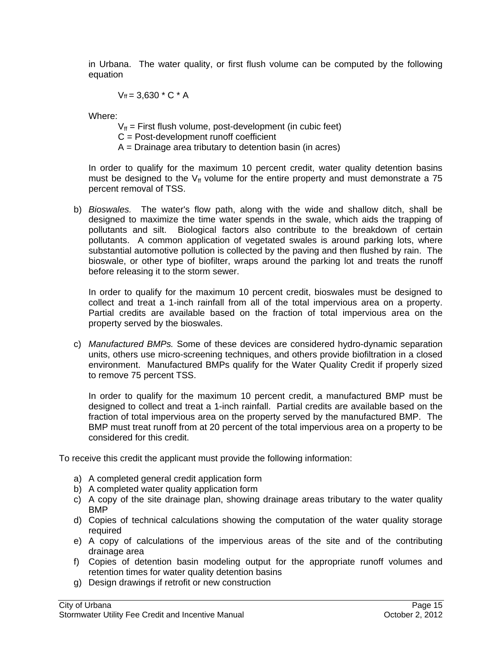in Urbana. The water quality, or first flush volume can be computed by the following equation

 $V_{ff} = 3.630 * C * A$ 

Where:

- $V_{\text{ff}}$  = First flush volume, post-development (in cubic feet)
- C = Post-development runoff coefficient
- A = Drainage area tributary to detention basin (in acres)

In order to qualify for the maximum 10 percent credit, water quality detention basins must be designed to the  $V_f$  volume for the entire property and must demonstrate a 75 percent removal of TSS.

b) *Bioswales.* The water's flow path, along with the wide and shallow ditch, shall be designed to maximize the time water spends in the swale, which aids the trapping of pollutants and silt. Biological factors also contribute to the breakdown of certain pollutants. A common application of vegetated swales is around parking lots, where substantial automotive pollution is collected by the paving and then flushed by rain. The bioswale, or other type of biofilter, wraps around the parking lot and treats the runoff before releasing it to the storm sewer.

In order to qualify for the maximum 10 percent credit, bioswales must be designed to collect and treat a 1-inch rainfall from all of the total impervious area on a property. Partial credits are available based on the fraction of total impervious area on the property served by the bioswales.

c) *Manufactured BMPs.* Some of these devices are considered hydro-dynamic separation units, others use micro-screening techniques, and others provide biofiltration in a closed environment. Manufactured BMPs qualify for the Water Quality Credit if properly sized to remove 75 percent TSS.

In order to qualify for the maximum 10 percent credit, a manufactured BMP must be designed to collect and treat a 1-inch rainfall. Partial credits are available based on the fraction of total impervious area on the property served by the manufactured BMP. The BMP must treat runoff from at 20 percent of the total impervious area on a property to be considered for this credit.

To receive this credit the applicant must provide the following information:

- a) A completed general credit application form
- b) A completed water quality application form
- c) A copy of the site drainage plan, showing drainage areas tributary to the water quality BMP
- d) Copies of technical calculations showing the computation of the water quality storage required
- e) A copy of calculations of the impervious areas of the site and of the contributing drainage area
- f) Copies of detention basin modeling output for the appropriate runoff volumes and retention times for water quality detention basins
- g) Design drawings if retrofit or new construction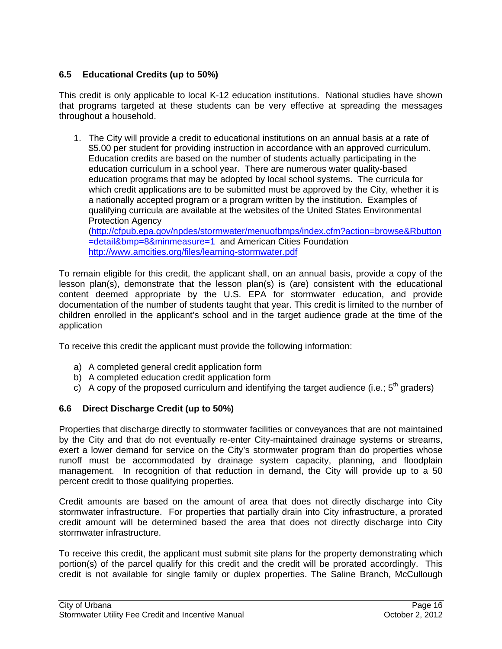## **6.5 Educational Credits (up to 50%)**

This credit is only applicable to local K-12 education institutions. National studies have shown that programs targeted at these students can be very effective at spreading the messages throughout a household.

1. The City will provide a credit to educational institutions on an annual basis at a rate of \$5.00 per student for providing instruction in accordance with an approved curriculum. Education credits are based on the number of students actually participating in the education curriculum in a school year. There are numerous water quality-based education programs that may be adopted by local school systems. The curricula for which credit applications are to be submitted must be approved by the City, whether it is a nationally accepted program or a program written by the institution. Examples of qualifying curricula are available at the websites of the United States Environmental Protection Agency (http://cfpub.epa.gov/npdes/stormwater/menuofbmps/index.cfm?action=browse&Rbutton =detail&bmp=8&minmeasure=1 and American Cities Foundation

http://www.amcities.org/files/learning-stormwater.pdf

To remain eligible for this credit, the applicant shall, on an annual basis, provide a copy of the lesson plan(s), demonstrate that the lesson plan(s) is (are) consistent with the educational content deemed appropriate by the U.S. EPA for stormwater education, and provide documentation of the number of students taught that year. This credit is limited to the number of children enrolled in the applicant's school and in the target audience grade at the time of the application

To receive this credit the applicant must provide the following information:

- a) A completed general credit application form
- b) A completed education credit application form
- c) A copy of the proposed curriculum and identifying the target audience (i.e.;  $5<sup>th</sup>$  graders)

## **6.6 Direct Discharge Credit (up to 50%)**

Properties that discharge directly to stormwater facilities or conveyances that are not maintained by the City and that do not eventually re-enter City-maintained drainage systems or streams, exert a lower demand for service on the City's stormwater program than do properties whose runoff must be accommodated by drainage system capacity, planning, and floodplain management. In recognition of that reduction in demand, the City will provide up to a 50 percent credit to those qualifying properties.

Credit amounts are based on the amount of area that does not directly discharge into City stormwater infrastructure. For properties that partially drain into City infrastructure, a prorated credit amount will be determined based the area that does not directly discharge into City stormwater infrastructure.

To receive this credit, the applicant must submit site plans for the property demonstrating which portion(s) of the parcel qualify for this credit and the credit will be prorated accordingly. This credit is not available for single family or duplex properties. The Saline Branch, McCullough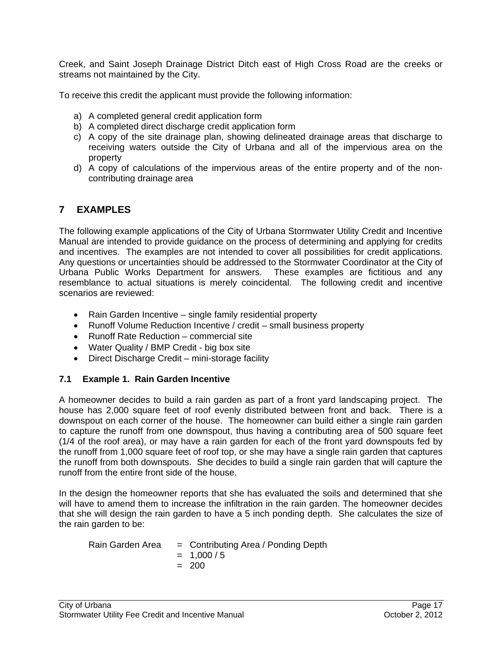Creek, and Saint Joseph Drainage District Ditch east of High Cross Road are the creeks or streams not maintained by the City.

To receive this credit the applicant must provide the following information:

- a) A completed general credit application form
- b) A completed direct discharge credit application form
- c) A copy of the site drainage plan, showing delineated drainage areas that discharge to receiving waters outside the City of Urbana and all of the impervious area on the property
- d) A copy of calculations of the impervious areas of the entire property and of the noncontributing drainage area

## **7 EXAMPLES**

The following example applications of the City of Urbana Stormwater Utility Credit and Incentive Manual are intended to provide guidance on the process of determining and applying for credits and incentives. The examples are not intended to cover all possibilities for credit applications. Any questions or uncertainties should be addressed to the Stormwater Coordinator at the City of Urbana Public Works Department for answers. These examples are fictitious and any resemblance to actual situations is merely coincidental. The following credit and incentive scenarios are reviewed:

- Rain Garden Incentive single family residential property
- Runoff Volume Reduction Incentive / credit small business property
- Runoff Rate Reduction commercial site
- Water Quality / BMP Credit big box site
- Direct Discharge Credit mini-storage facility

## **7.1 Example 1. Rain Garden Incentive**

A homeowner decides to build a rain garden as part of a front yard landscaping project. The house has 2,000 square feet of roof evenly distributed between front and back. There is a downspout on each corner of the house. The homeowner can build either a single rain garden to capture the runoff from one downspout, thus having a contributing area of 500 square feet (1/4 of the roof area), or may have a rain garden for each of the front yard downspouts fed by the runoff from 1,000 square feet of roof top, or she may have a single rain garden that captures the runoff from both downspouts. She decides to build a single rain garden that will capture the runoff from the entire front side of the house.

In the design the homeowner reports that she has evaluated the soils and determined that she will have to amend them to increase the infiltration in the rain garden. The homeowner decides that she will design the rain garden to have a 5 inch ponding depth. She calculates the size of the rain garden to be:

Rain Garden Area = Contributing Area / Ponding Depth  $= 1,000/5$  $= 200$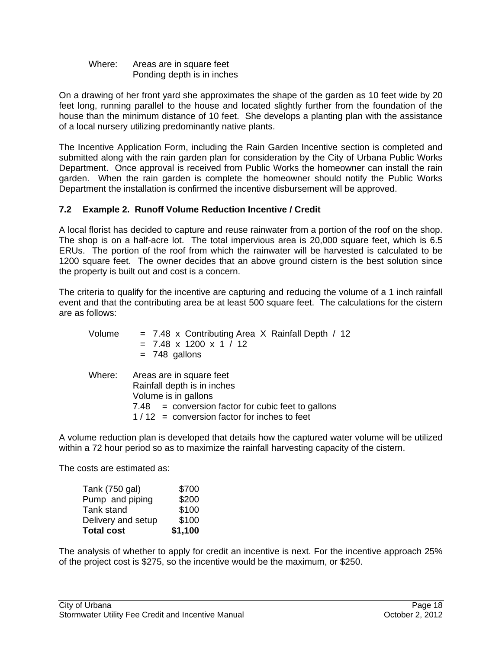Where: Areas are in square feet Ponding depth is in inches

On a drawing of her front yard she approximates the shape of the garden as 10 feet wide by 20 feet long, running parallel to the house and located slightly further from the foundation of the house than the minimum distance of 10 feet. She develops a planting plan with the assistance of a local nursery utilizing predominantly native plants.

The Incentive Application Form, including the Rain Garden Incentive section is completed and submitted along with the rain garden plan for consideration by the City of Urbana Public Works Department. Once approval is received from Public Works the homeowner can install the rain garden. When the rain garden is complete the homeowner should notify the Public Works Department the installation is confirmed the incentive disbursement will be approved.

## **7.2 Example 2. Runoff Volume Reduction Incentive / Credit**

A local florist has decided to capture and reuse rainwater from a portion of the roof on the shop. The shop is on a half-acre lot. The total impervious area is 20,000 square feet, which is 6.5 ERUs. The portion of the roof from which the rainwater will be harvested is calculated to be 1200 square feet. The owner decides that an above ground cistern is the best solution since the property is built out and cost is a concern.

The criteria to qualify for the incentive are capturing and reducing the volume of a 1 inch rainfall event and that the contributing area be at least 500 square feet. The calculations for the cistern are as follows:

| Volume | $= 7.48$ x Contributing Area X Rainfall Depth / 12<br>$= 7.48 \times 1200 \times 1 / 12$<br>$= 748$ gallons                                                                                     |
|--------|-------------------------------------------------------------------------------------------------------------------------------------------------------------------------------------------------|
|        | Where: Areas are in square feet<br>Rainfall depth is in inches<br>Volume is in gallons<br>$7.48$ = conversion factor for cubic feet to gallons<br>$1/12$ = conversion factor for inches to feet |

A volume reduction plan is developed that details how the captured water volume will be utilized within a 72 hour period so as to maximize the rainfall harvesting capacity of the cistern.

The costs are estimated as:

| <b>Total cost</b>  | \$1,100 |
|--------------------|---------|
| Delivery and setup | \$100   |
| Tank stand         | \$100   |
| Pump and piping    | \$200   |
| Tank (750 gal)     | \$700   |

The analysis of whether to apply for credit an incentive is next. For the incentive approach 25% of the project cost is \$275, so the incentive would be the maximum, or \$250.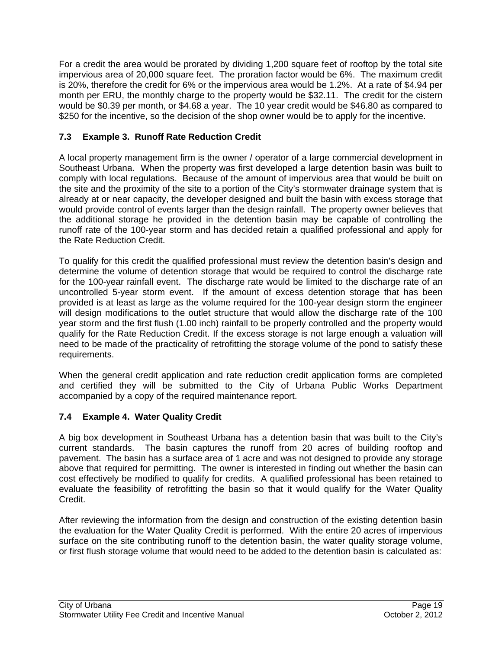For a credit the area would be prorated by dividing 1,200 square feet of rooftop by the total site impervious area of 20,000 square feet. The proration factor would be 6%. The maximum credit is 20%, therefore the credit for 6% or the impervious area would be 1.2%. At a rate of \$4.94 per month per ERU, the monthly charge to the property would be \$32.11. The credit for the cistern would be \$0.39 per month, or \$4.68 a year. The 10 year credit would be \$46.80 as compared to \$250 for the incentive, so the decision of the shop owner would be to apply for the incentive.

## **7.3 Example 3. Runoff Rate Reduction Credit**

A local property management firm is the owner / operator of a large commercial development in Southeast Urbana. When the property was first developed a large detention basin was built to comply with local regulations. Because of the amount of impervious area that would be built on the site and the proximity of the site to a portion of the City's stormwater drainage system that is already at or near capacity, the developer designed and built the basin with excess storage that would provide control of events larger than the design rainfall. The property owner believes that the additional storage he provided in the detention basin may be capable of controlling the runoff rate of the 100-year storm and has decided retain a qualified professional and apply for the Rate Reduction Credit.

To qualify for this credit the qualified professional must review the detention basin's design and determine the volume of detention storage that would be required to control the discharge rate for the 100-year rainfall event. The discharge rate would be limited to the discharge rate of an uncontrolled 5-year storm event. If the amount of excess detention storage that has been provided is at least as large as the volume required for the 100-year design storm the engineer will design modifications to the outlet structure that would allow the discharge rate of the 100 year storm and the first flush (1.00 inch) rainfall to be properly controlled and the property would qualify for the Rate Reduction Credit. If the excess storage is not large enough a valuation will need to be made of the practicality of retrofitting the storage volume of the pond to satisfy these requirements.

When the general credit application and rate reduction credit application forms are completed and certified they will be submitted to the City of Urbana Public Works Department accompanied by a copy of the required maintenance report.

## **7.4 Example 4. Water Quality Credit**

A big box development in Southeast Urbana has a detention basin that was built to the City's current standards. The basin captures the runoff from 20 acres of building rooftop and pavement. The basin has a surface area of 1 acre and was not designed to provide any storage above that required for permitting. The owner is interested in finding out whether the basin can cost effectively be modified to qualify for credits. A qualified professional has been retained to evaluate the feasibility of retrofitting the basin so that it would qualify for the Water Quality Credit.

After reviewing the information from the design and construction of the existing detention basin the evaluation for the Water Quality Credit is performed. With the entire 20 acres of impervious surface on the site contributing runoff to the detention basin, the water quality storage volume, or first flush storage volume that would need to be added to the detention basin is calculated as: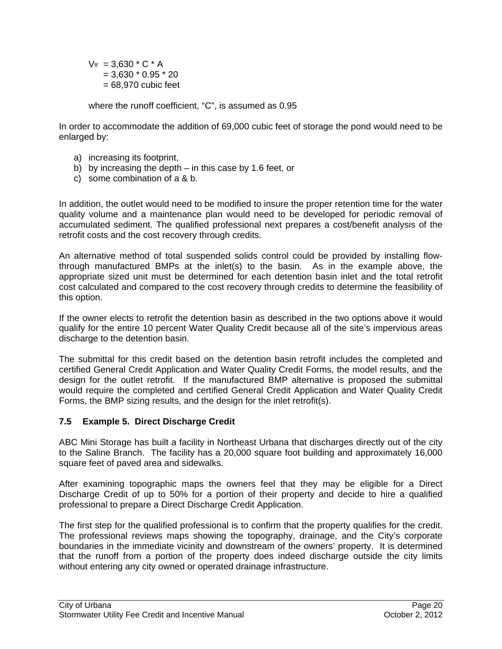$V_{\text{ff}}$  = 3,630  $*$  C  $*$  A  $= 3,630 * 0.95 * 20$  $= 68,970$  cubic feet

where the runoff coefficient, "C", is assumed as 0.95

In order to accommodate the addition of 69,000 cubic feet of storage the pond would need to be enlarged by:

- a) increasing its footprint,
- b) by increasing the depth in this case by 1.6 feet, or
- c) some combination of a & b.

In addition, the outlet would need to be modified to insure the proper retention time for the water quality volume and a maintenance plan would need to be developed for periodic removal of accumulated sediment. The qualified professional next prepares a cost/benefit analysis of the retrofit costs and the cost recovery through credits.

An alternative method of total suspended solids control could be provided by installing flowthrough manufactured BMPs at the inlet(s) to the basin. As in the example above, the appropriate sized unit must be determined for each detention basin inlet and the total retrofit cost calculated and compared to the cost recovery through credits to determine the feasibility of this option.

If the owner elects to retrofit the detention basin as described in the two options above it would qualify for the entire 10 percent Water Quality Credit because all of the site's impervious areas discharge to the detention basin.

The submittal for this credit based on the detention basin retrofit includes the completed and certified General Credit Application and Water Quality Credit Forms, the model results, and the design for the outlet retrofit. If the manufactured BMP alternative is proposed the submittal would require the completed and certified General Credit Application and Water Quality Credit Forms, the BMP sizing results, and the design for the inlet retrofit(s).

## **7.5 Example 5. Direct Discharge Credit**

ABC Mini Storage has built a facility in Northeast Urbana that discharges directly out of the city to the Saline Branch. The facility has a 20,000 square foot building and approximately 16,000 square feet of paved area and sidewalks.

After examining topographic maps the owners feel that they may be eligible for a Direct Discharge Credit of up to 50% for a portion of their property and decide to hire a qualified professional to prepare a Direct Discharge Credit Application.

The first step for the qualified professional is to confirm that the property qualifies for the credit. The professional reviews maps showing the topography, drainage, and the City's corporate boundaries in the immediate vicinity and downstream of the owners' property. It is determined that the runoff from a portion of the property does indeed discharge outside the city limits without entering any city owned or operated drainage infrastructure.